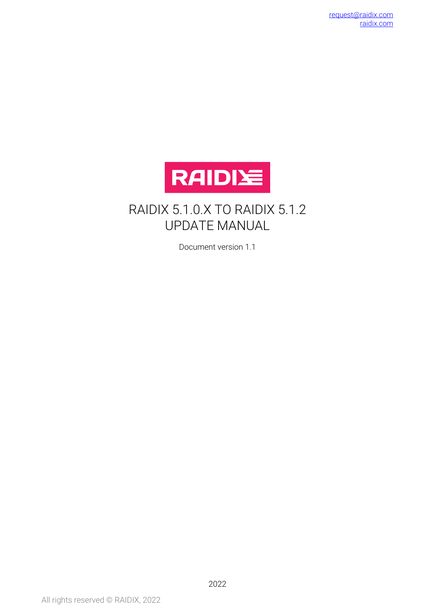

#### RAIDIX 5.1.0.X TO RAIDIX 5.1.2 UPDATE MANUAL

Document version 1.1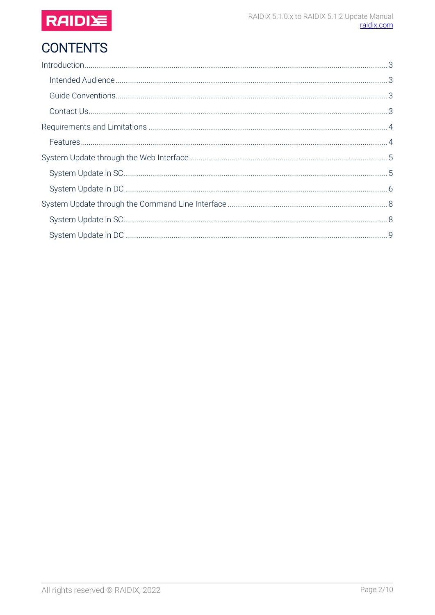

# **CONTENTS**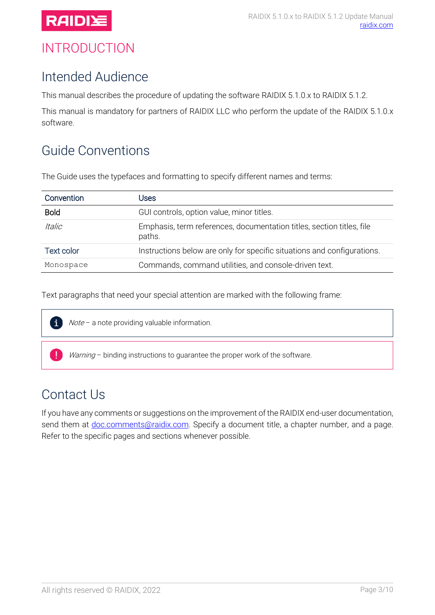

## <span id="page-2-0"></span>INTRODUCTION

#### <span id="page-2-1"></span>Intended Audience

This manual describes the procedure of updating the software RAIDIX 5.1.0.x to RAIDIX 5.1.2.

This manual is mandatory for partners of RAIDIX LLC who perform the update of the RAIDIX 5.1.0.x software.

## <span id="page-2-2"></span>Guide Conventions

The Guide uses the typefaces and formatting to specify different names and terms:

| Convention           | Jses                                                                            |
|----------------------|---------------------------------------------------------------------------------|
| <b>Bold</b>          | GUI controls, option value, minor titles.                                       |
| <i><b>Italic</b></i> | Emphasis, term references, documentation titles, section titles, file<br>paths. |
| Text color           | Instructions below are only for specific situations and configurations.         |
| Monospace            | Commands, command utilities, and console-driven text.                           |

Text paragraphs that need your special attention are marked with the following frame:



Note - a note providing valuable information.

Warning - binding instructions to guarantee the proper work of the software.

#### <span id="page-2-3"></span>Contact Us

If you have any comments or suggestions on the improvement of the RAIDIX end-user documentation, send them at [doc.comments@raidix.com.](mailto:doc.comments@raidix.com) Specify a document title, a chapter number, and a page. Refer to the specific pages and sections whenever possible.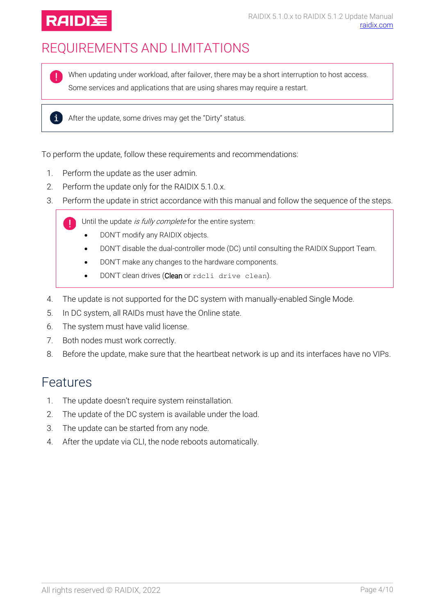

## <span id="page-3-0"></span>REQUIREMENTS AND LIMITATIONS

When updating under workload, after failover, there may be a short interruption to host access. Some services and applications that are using shares may require a restart.

 $\mathbf{i}$  After the update, some drives may get the "Dirty" status.

To perform the update, follow these requirements and recommendations:

- 1. Perform the update as the user admin.
- 2. Perform the update only for the RAIDIX 5.1.0.x.
- 3. Perform the update in strict accordance with this manual and follow the sequence of the steps.

Until the update is fully complete for the entire system:

- DON'T modify any RAIDIX objects.
- DON'T disable the dual-controller mode (DC) until consulting the RAIDIX Support Team.
- DON'T make any changes to the hardware components.
- DON'T clean drives (Clean or rdcli drive clean).
- 4. The update is not supported for the DC system with manually-enabled Single Mode.
- 5. In DC system, all RAIDs must have the Online state.
- 6. The system must have valid license.
- 7. Both nodes must work correctly.
- 8. Before the update, make sure that the heartbeat network is up and its interfaces have no VIPs.

#### <span id="page-3-1"></span>Features

- 1. The update doesn't require system reinstallation.
- 2. The update of the DC system is available under the load.
- 3. The update can be started from any node.
- 4. After the update via CLI, the node reboots automatically.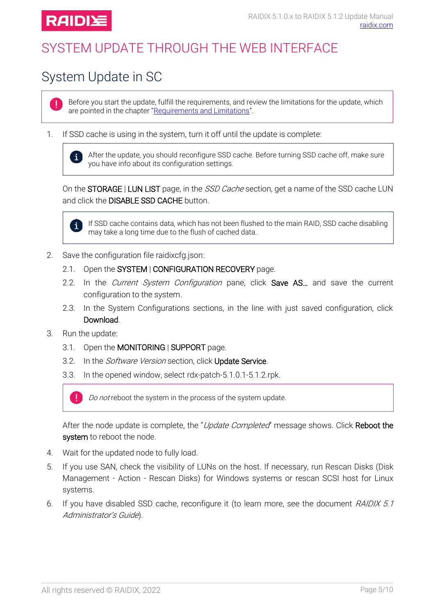

## <span id="page-4-0"></span>SYSTEM UPDATE THROUGH THE WEB INTERFACE

## <span id="page-4-1"></span>System Update in SC

Ţ.

Before you start the update, fulfill the requirements, and review the limitations for the update, which are pointed in the chapter "[Requirements and Limitations](#page-3-0)".

1. If SSD cache is using in the system, turn it off until the update is complete:



After the update, you should reconfigure SSD cache. Before turning SSD cache off, make sure you have info about its configuration settings.

On the STORAGE | LUN LIST page, in the SSD Cache section, get a name of the SSD cache LUN and click the **DISABLE SSD CACHE** button.



If SSD cache contains data, which has not been flushed to the main RAID, SSD cache disabling may take a long time due to the flush of cached data.

- 2. Save the configuration file raidixcfg.json:
	- 2.1. Open the SYSTEM | CONFIGURATION RECOVERY page.
	- 2.2. In the Current System Configuration pane, click Save AS... and save the current configuration to the system.
	- 2.3. In the System Configurations sections, in the line with just saved configuration, click Download.
- 3. Run the update:
	- 3.1. Open the MONITORING | SUPPORT page.
	- 3.2. In the *Software Version* section, click Update Service.
	- 3.3. In the opened window, select rdx-patch-5.1.0.1-5.1.2.rpk.



After the node update is complete, the "Update Completed" message shows. Click Reboot the system to reboot the node.

- 4. Wait for the updated node to fully load.
- 5. If you use SAN, check the visibility of LUNs on the host. If necessary, run Rescan Disks (Disk Management - Action - Rescan Disks) for Windows systems or rescan SCSI host for Linux systems.
- 6. If you have disabled SSD cache, reconfigure it (to learn more, see the document RAIDIX 5.1 Administrator's Guide).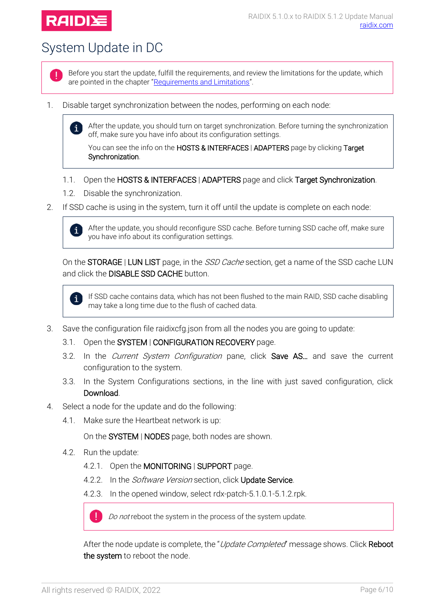

 $\mathbf{i}$ 

## <span id="page-5-0"></span>System Update in DC



Before you start the update, fulfill the requirements, and review the limitations for the update, which are pointed in the chapter "[Requirements and Limitations](#page-3-0)".

1. Disable target synchronization between the nodes, performing on each node:

After the update, you should turn on target synchronization. Before turning the synchronization off, make sure you have info about its configuration settings.

You can see the info on the HOSTS & INTERFACES | ADAPTERS page by clicking Target Synchronization.

- 1.1. Open the HOSTS & INTERFACES | ADAPTERS page and click Target Synchronization.
- 1.2. Disable the synchronization.
- 2. If SSD cache is using in the system, turn it off until the update is complete on each node:

After the update, you should reconfigure SSD cache. Before turning SSD cache off, make sure  $\mathbf{i}$ you have info about its configuration settings.

On the STORAGE | LUN LIST page, in the SSD Cache section, get a name of the SSD cache LUN and click the DISABLE SSD CACHE button.

If SSD cache contains data, which has not been flushed to the main RAID, SSD cache disabling  $\mathbf i$ may take a long time due to the flush of cached data.

- 3. Save the configuration file raidixcfg.json from all the nodes you are going to update:
	- 3.1. Open the SYSTEM | CONFIGURATION RECOVERY page.
	- 3.2. In the *Current System Configuration* pane, click **Save AS...** and save the current configuration to the system.
	- 3.3. In the System Configurations sections, in the line with just saved configuration, click Download.
- 4. Select a node for the update and do the following:
	- 4.1. Make sure the Heartbeat network is up:

On the SYSTEM | NODES page, both nodes are shown.

4.2. Run the update:

T

- 4.2.1. Open the MONITORING | SUPPORT page.
- 4.2.2. In the *Software Version* section, click Update Service.
- 4.2.3. In the opened window, select rdx-patch-5.1.0.1-5.1.2.rpk.

Do not reboot the system in the process of the system update.

After the node update is complete, the "Update Completed" message shows. Click Reboot the system to reboot the node.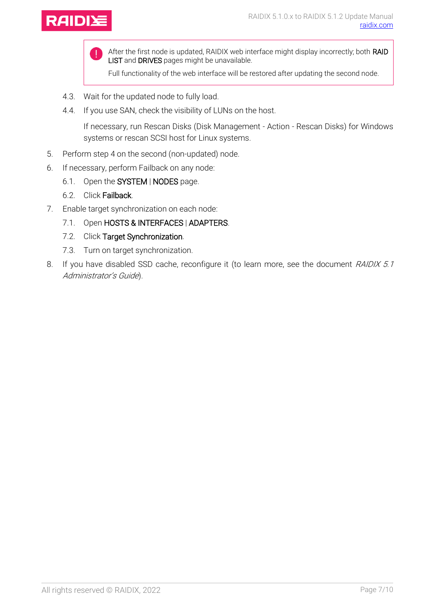



After the first node is updated, RAIDIX web interface might display incorrectly; both RAID LIST and DRIVES pages might be unavailable.

Full functionality of the web interface will be restored after updating the second node.

- 4.3. Wait for the updated node to fully load.
- 4.4. If you use SAN, check the visibility of LUNs on the host.

If necessary, run Rescan Disks (Disk Management - Action - Rescan Disks) for Windows systems or rescan SCSI host for Linux systems.

- 5. Perform step 4 on the second (non-updated) node.
- 6. If necessary, perform Failback on any node:
	- 6.1. Open the SYSTEM | NODES page.
	- 6.2. Click Failback.
- 7. Enable target synchronization on each node:
	- 7.1. Open HOSTS & INTERFACES | ADAPTERS.
	- 7.2. Click Target Synchronization.
	- 7.3. Turn on target synchronization.
- 8. If you have disabled SSD cache, reconfigure it (to learn more, see the document RAIDIX 5.1 Administrator's Guide).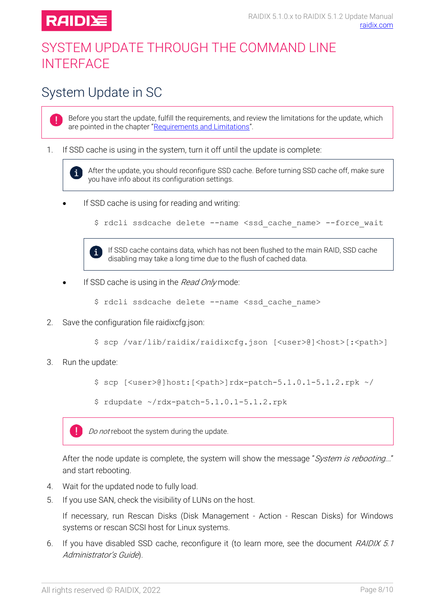

T

 $\mathbf{i}$ 

## <span id="page-7-0"></span>SYSTEM UPDATE THROUGH THE COMMAND LINE **INTERFACE**

## <span id="page-7-1"></span>System Update in SC

Before you start the update, fulfill the requirements, and review the limitations for the update, which are pointed in the chapter "[Requirements and Limitations](#page-3-0)".

#### 1. If SSD cache is using in the system, turn it off until the update is complete:

After the update, you should reconfigure SSD cache. Before turning SSD cache off, make sure you have info about its configuration settings.

If SSD cache is using for reading and writing:

\$ rdcli ssdcache delete --name <ssd cache name> --force wait



If SSD cache contains data, which has not been flushed to the main RAID, SSD cache disabling may take a long time due to the flush of cached data.

If SSD cache is using in the Read Only mode:

\$ rdcli ssdcache delete --name <ssd cache name>

2. Save the configuration file raidixcfg.json:

\$ scp /var/lib/raidix/raidixcfg.json [<user>@]<host>[:<path>]

3. Run the update:

 $$$  scp  ${\vert \langle user \rangle \langle}$ ]host: ${\vert \langle path \rangle \vert}$ rdx-patch-5.1.0.1-5.1.2.rpk ~/

 $$ rdupdate ~ / rdx-patch-5.1.0.1-5.1.2.rbk$ 



After the node update is complete, the system will show the message "System is rebooting..." and start rebooting.

- 4. Wait for the updated node to fully load.
- 5. If you use SAN, check the visibility of LUNs on the host.

If necessary, run Rescan Disks (Disk Management - Action - Rescan Disks) for Windows systems or rescan SCSI host for Linux systems.

6. If you have disabled SSD cache, reconfigure it (to learn more, see the document RAIDIX 5.1 Administrator's Guide).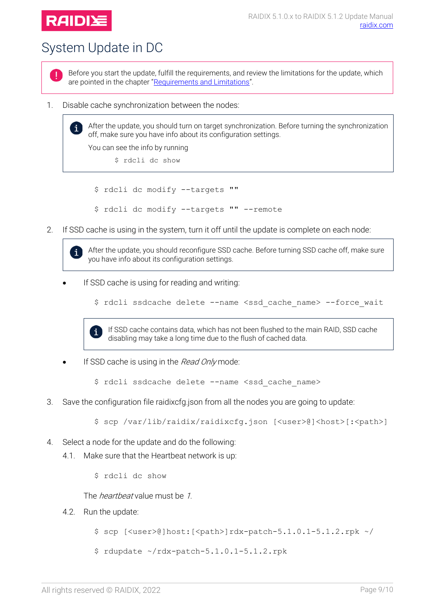

 $\mathbf{i}$ 

 $\mathbf{i}$ 

## <span id="page-8-0"></span>System Update in DC



Before you start the update, fulfill the requirements, and review the limitations for the update, which are pointed in the chapter "[Requirements and Limitations](#page-3-0)".

1. Disable cache synchronization between the nodes:

After the update, you should turn on target synchronization. Before turning the synchronization off, make sure you have info about its configuration settings.

You can see the info by running

\$ rdcli dc show

\$ rdcli dc modify --targets ""

- \$ rdcli dc modify --targets "" --remote
- 2. If SSD cache is using in the system, turn it off until the update is complete on each node:

After the update, you should reconfigure SSD cache. Before turning SSD cache off, make sure you have info about its configuration settings.

- If SSD cache is using for reading and writing:
	- \$ rdcli ssdcache delete --name <ssd\_cache\_name> --force\_wait



If SSD cache contains data, which has not been flushed to the main RAID, SSD cache disabling may take a long time due to the flush of cached data.

If SSD cache is using in the Read Only mode:

\$ rdcli ssdcache delete --name <ssd cache name>

3. Save the configuration file raidixcfg.json from all the nodes you are going to update:

\$ scp /var/lib/raidix/raidixcfg.json [<user>@]<host>[:<path>]

- 4. Select a node for the update and do the following:
	- 4.1. Make sure that the Heartbeat network is up:
		- \$ rdcli dc show

The *heartbeat* value must be 1.

- 4.2. Run the update:
	- $$ sep$  [<user>@]host:[<path>]rdx-patch-5.1.0.1-5.1.2.rpk ~/
	- $$ rdupdate ~ x/dx-patch-5.1.0.1-5.1.2.rbk$